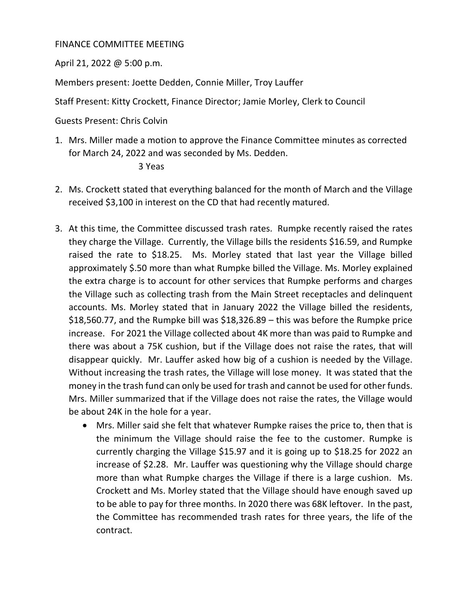## FINANCE COMMITTEE MEETING

April 21, 2022 @ 5:00 p.m.

Members present: Joette Dedden, Connie Miller, Troy Lauffer

Staff Present: Kitty Crockett, Finance Director; Jamie Morley, Clerk to Council

Guests Present: Chris Colvin

- 1. Mrs. Miller made a motion to approve the Finance Committee minutes as corrected for March 24, 2022 and was seconded by Ms. Dedden. 3 Yeas
- 2. Ms. Crockett stated that everything balanced for the month of March and the Village received \$3,100 in interest on the CD that had recently matured.
- 3. At this time, the Committee discussed trash rates. Rumpke recently raised the rates they charge the Village. Currently, the Village bills the residents \$16.59, and Rumpke raised the rate to \$18.25. Ms. Morley stated that last year the Village billed approximately \$.50 more than what Rumpke billed the Village. Ms. Morley explained the extra charge is to account for other services that Rumpke performs and charges the Village such as collecting trash from the Main Street receptacles and delinquent accounts. Ms. Morley stated that in January 2022 the Village billed the residents, \$18,560.77, and the Rumpke bill was \$18,326.89 – this was before the Rumpke price increase. For 2021 the Village collected about 4K more than was paid to Rumpke and there was about a 75K cushion, but if the Village does not raise the rates, that will disappear quickly. Mr. Lauffer asked how big of a cushion is needed by the Village. Without increasing the trash rates, the Village will lose money. It was stated that the money in the trash fund can only be used for trash and cannot be used for other funds. Mrs. Miller summarized that if the Village does not raise the rates, the Village would be about 24K in the hole for a year.
	- Mrs. Miller said she felt that whatever Rumpke raises the price to, then that is the minimum the Village should raise the fee to the customer. Rumpke is currently charging the Village \$15.97 and it is going up to \$18.25 for 2022 an increase of \$2.28. Mr. Lauffer was questioning why the Village should charge more than what Rumpke charges the Village if there is a large cushion. Ms. Crockett and Ms. Morley stated that the Village should have enough saved up to be able to pay for three months. In 2020 there was 68K leftover. In the past, the Committee has recommended trash rates for three years, the life of the contract.